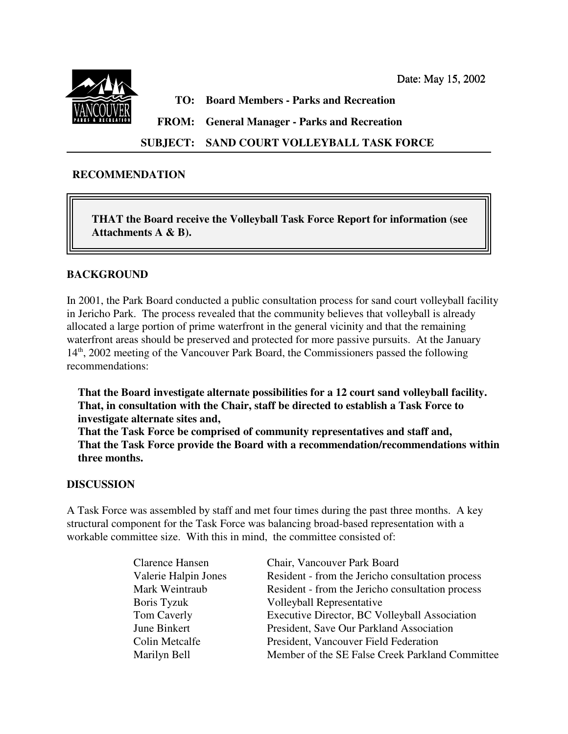Date: May 15, 2002



**TO: Board Members - Parks and Recreation**

**FROM: General Manager - Parks and Recreation**

**SUBJECT: SAND COURT VOLLEYBALL TASK FORCE**

## **RECOMMENDATION**

**THAT the Board receive the Volleyball Task Force Report for information (see Attachments A & B).** 

## **BACKGROUND**

In 2001, the Park Board conducted a public consultation process for sand court volleyball facility in Jericho Park. The process revealed that the community believes that volleyball is already allocated a large portion of prime waterfront in the general vicinity and that the remaining waterfront areas should be preserved and protected for more passive pursuits. At the January 14<sup>th</sup>, 2002 meeting of the Vancouver Park Board, the Commissioners passed the following recommendations:

**That the Board investigate alternate possibilities for a 12 court sand volleyball facility. That, in consultation with the Chair, staff be directed to establish a Task Force to investigate alternate sites and,**

**That the Task Force be comprised of community representatives and staff and, That the Task Force provide the Board with a recommendation/recommendations within three months.**

## **DISCUSSION**

A Task Force was assembled by staff and met four times during the past three months. A key structural component for the Task Force was balancing broad-based representation with a workable committee size. With this in mind, the committee consisted of:

| <b>Clarence Hansen</b> | Chair, Vancouver Park Board                      |
|------------------------|--------------------------------------------------|
| Valerie Halpin Jones   | Resident - from the Jericho consultation process |
| Mark Weintraub         | Resident - from the Jericho consultation process |
| Boris Tyzuk            | <b>Volleyball Representative</b>                 |
| Tom Caverly            | Executive Director, BC Volleyball Association    |
| June Binkert           | President, Save Our Parkland Association         |
| Colin Metcalfe         | President, Vancouver Field Federation            |
| Marilyn Bell           | Member of the SE False Creek Parkland Committee  |
|                        |                                                  |